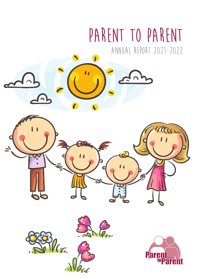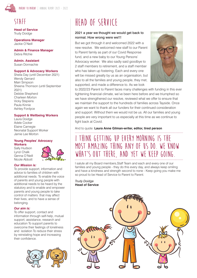

## **Staff**

**Head of Service** Trudy Doidge

**Operations Manager** Jackie O'Neill

**Admin & Finance Manager** Debra Ritchie

**Admin. Assistant** Susan Donnachie

### **Support & Advocacy Workers**

Sheila Day (until December 2021) Wendy Gerrard Mairi Simpson Sheena Thomson (until September 2021) Debbie Shepherd Charleen Morton Vicky Stepiens Paula Kinnie Ashley Fordyce

### **Support & Wellbeing Workers**

Laura Doidge Adele Cocker Elaine Carnegie Neonatal Support Worker Jamie Lee Morton

#### **Young Peoples' Advocacy Workers**

Sally Hudson Lynzi Chalk Genna O'Neill Nicole Abbott



### *Our Mission is:*

To provide support, information and advice to families of children with additional needs. To enable the voice of parents and young people with additional needs to be heard by the statutory and to enable and empower parents and young people to take control of matters that may affect their lives, and to have a sense of belonging.

### *Our aim is:*

To offer support, contact and information through self-help, mutual support, assistance, research and education To support parents to overcome their feelings of loneliness and isolation To reduce their stress by reinstating hope and increasing their confidence.



# **Head of Service**

## 2021 a year we thought we would get back to normal. How wrong were we!!!

But we got through it and welcomed 2022 with a new resolve. We welcomed new staff to our Parent to Parent family as part of our Covid Response fund, and a new baby to our Young Persons' Advocacy worker. We also sadly said goodbye to 2 staff members to retirement, and a staff member who has taken up fostering. Each and every one will be missed greatly by us as an organisation, but also to all the families and young people, they met, supported, and made a difference to. As we look



to 2022/23 Parent to Parent faces many challenges with funding in this ever tightening financial climate, we've been here before and we triumphed so we have strengthened our resolve, reviewed what we offer to ensure that we maintain the support to the hundreds of families across Tayside. Once again we want to thank all our funders for their continued consideration and support. Without them we would not be us. All our families and young people are very important to us especially at this time as we continue to fight back at Covid.

And to quote: **Laura Anne Gilman-writer, editor, tired person**

## **I think getting up every morning is the most amazing thing any of us do. We know what's out there, and yet we keep going.**

I salute all my Board members,Staff Team and each and every one of our families and young people - they do this every day, and always keep smiling and have a kindness and strength second to none - Keep going you make me so proud to be Head of Service to Parent to Parent.

*Trudy Doidge* **Head of Service**

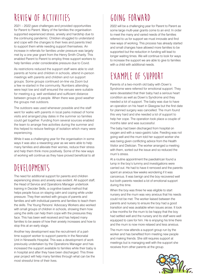# **Review of activities**

2021 – 2022 gave challenges and provided opportunities for Parent to Parent. Many of the families the organisation supported experienced stress, anxiety and hardship due to the continuing pandemic. Children struggled to understand and cope with the changes to their lives and parents tried to support them while needing support themselves. An increase in referrals for families under pressure was largely met by a one year grant from the Henry Smith Charity. This enabled Parent to Parent to employ three support workers to help families under considerable pressure due to Covid.

As restrictions reduced the support staff were able to visit parents at home and children in schools, attend in-person meetings with parents and children and run support groups. Some groups continued on-line via Zoom but a few re-started in the community. Numbers attending were kept low and staff ensured the venues were suitable for meeting e.g. well ventilated and sufficient distance between groups of people. When there was good weather the groups met outdoors.

The outdoors was used whenever possible and the staff went for walks with parents in local parks instead of home visits and arranged play dates in the summer so families could get together. Funding from several sources enabled the team to arrange free activities during the summer and this helped to reduce feelings of isolation which many were experiencing.

While it was a challenging year for the organisation in some ways it was also a rewarding year as we were able to help many families and alleviate their worries, reduce their stress and help them think more positively. Some of the new ways of working will continue as they have proved beneficial to all

# **Developments**

The need for additional support for parents and children experiencing stress and anxiety was evident. All support staff, the Head of Service and Operations Manager undertook training in Decider Skills, a cognitive based method that helps people focus on staying calm and coping while under pressure. They then worked with groups of parents and families and with individual parents and families to teach them the skills. The Young Persons' Advocacy Workers also worked with small groups of children in schools, showing them how using the skills can help them cope with the pressures they face. This has been well received and has helped many families to be aware of how their anxiety increases and how to stop this at an early stage.

Another key development was the recruitment of a parttime support worker to support parents in the Neonatal Unit in Ninewells Hospital. This was a development of work previously undertaken by the Operations Manager and has increased the support available to families while their baby is in hospital and after they have been discharged. This three year project will help many families through what can be the most stressful time of their lives.

# **Going Forward**

2022 will be a challenging year for Parent to Parent as some large multi-year grants come to an end. In order to meet the many and varied needs of the families referred to us for support we must innovate and find new ways of working. This process has already started and small changes have allowed more families to be supported but the reduction in funding will lead to longer waiting times. We will continue to look for ways to increase the support we are able to give to families with a child with additional needs.

# **Example of support**

Parents of a two-month old baby with Down's Syndrome were referred for emotional support. They were devastated that their baby had a serious heart condition as well as Down's Syndrome and they needed a lot of support. The baby was due to have an operation on his heart in Glasgow but the first date for planned surgery was cancelled. The mum found this very hard and she needed a lot of support to help her cope. The operation took place a couple of months later and was successful.

The baby had been discharged from hospital on oxygen and with a naso-gastric tube. Feeding was not going well and the mum told her support worker she was being given conflicting advice from the Health Visitor and Dietician. The worker arranged a meeting with them, sorted out the issue and so reduced the mum's stress.

At a routine appointment the paediatrican found a lump in the boy's tummy and investigations were carried out. He had to have it removed and the parents spent an anxious few weeks wondering if it was cancerous. It was benign and the boy recovered well but both parents needed a lot of emotional support during this time.

When the boy was three he was eligible to start nursery and the mum was very anxious that his needs could not be met. The worker liaised between the parents and nursery to ensure the boy had a good transition and was available when issues arose. It took a few months for the mum to be happy that the boy had settled well and the nursery and its staff were well equipped to care for him. He is enjoying his time there and the mum is now more relaxed and less anxious.

The mum now attends a support group run by the worker and has benefited from meeting new people and making friends. She still requires support at meetings but is managing well with the support she receives from other parents at the group.